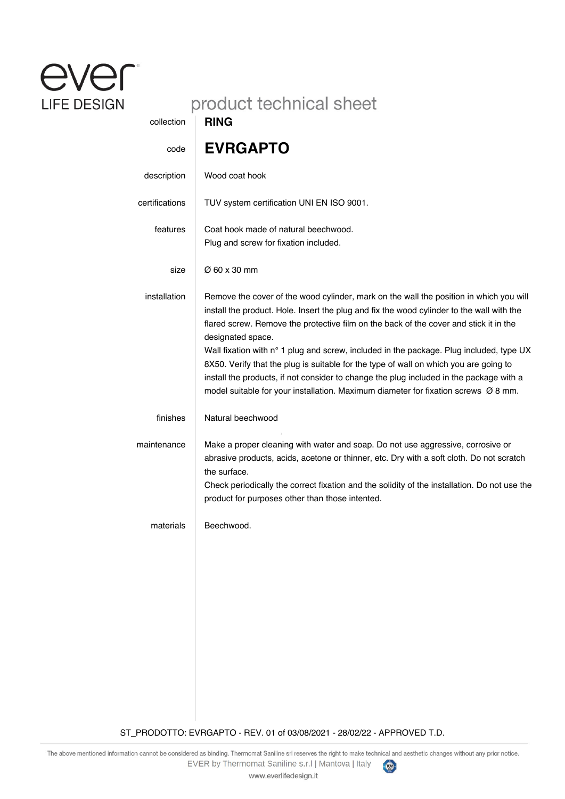## ever: **LIFE DESIGN**

## product technical sheet

| collection     | <b>RING</b>                                                                                                                                                                                                                                                                                                                                                       |
|----------------|-------------------------------------------------------------------------------------------------------------------------------------------------------------------------------------------------------------------------------------------------------------------------------------------------------------------------------------------------------------------|
| code           | <b>EVRGAPTO</b>                                                                                                                                                                                                                                                                                                                                                   |
| description    | Wood coat hook                                                                                                                                                                                                                                                                                                                                                    |
| certifications | TUV system certification UNI EN ISO 9001.                                                                                                                                                                                                                                                                                                                         |
| features       | Coat hook made of natural beechwood.<br>Plug and screw for fixation included.                                                                                                                                                                                                                                                                                     |
| size           | Ø 60 x 30 mm                                                                                                                                                                                                                                                                                                                                                      |
| installation   | Remove the cover of the wood cylinder, mark on the wall the position in which you will<br>install the product. Hole. Insert the plug and fix the wood cylinder to the wall with the<br>flared screw. Remove the protective film on the back of the cover and stick it in the<br>designated space.                                                                 |
|                | Wall fixation with n° 1 plug and screw, included in the package. Plug included, type UX<br>8X50. Verify that the plug is suitable for the type of wall on which you are going to<br>install the products, if not consider to change the plug included in the package with a<br>model suitable for your installation. Maximum diameter for fixation screws Ø 8 mm. |
| finishes       | Natural beechwood                                                                                                                                                                                                                                                                                                                                                 |
| maintenance    | Make a proper cleaning with water and soap. Do not use aggressive, corrosive or<br>abrasive products, acids, acetone or thinner, etc. Dry with a soft cloth. Do not scratch<br>the surface.<br>Check periodically the correct fixation and the solidity of the installation. Do not use the                                                                       |
|                | product for purposes other than those intented.                                                                                                                                                                                                                                                                                                                   |
| materials      | Beechwood.                                                                                                                                                                                                                                                                                                                                                        |

ST\_PRODOTTO: EVRGAPTO - REV. 01 of 03/08/2021 - 28/02/22 - APPROVED T.D.